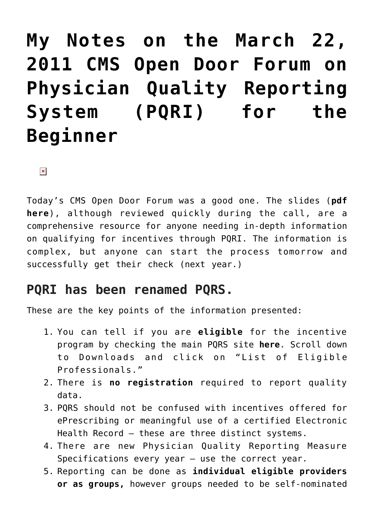# **[My Notes on the March 22,](https://managemypractice.com/my-notes-on-the-march-22-2011-cms-open-door-forum-on-physician-quality-reporting-system-pqri-for-the-beginner/) [2011 CMS Open Door Forum on](https://managemypractice.com/my-notes-on-the-march-22-2011-cms-open-door-forum-on-physician-quality-reporting-system-pqri-for-the-beginner/) [Physician Quality Reporting](https://managemypractice.com/my-notes-on-the-march-22-2011-cms-open-door-forum-on-physician-quality-reporting-system-pqri-for-the-beginner/) [System \(PQRI\) for the](https://managemypractice.com/my-notes-on-the-march-22-2011-cms-open-door-forum-on-physician-quality-reporting-system-pqri-for-the-beginner/) [Beginner](https://managemypractice.com/my-notes-on-the-march-22-2011-cms-open-door-forum-on-physician-quality-reporting-system-pqri-for-the-beginner/)**

 $\pmb{\times}$ 

Today's CMS Open Door Forum was a good one. The slides (**[pdf](https://managemypractice.com/wp-content/uploads/2011/03/OpenDoorForumPQRI03222011.pdf) [here](https://managemypractice.com/wp-content/uploads/2011/03/OpenDoorForumPQRI03222011.pdf)**), although reviewed quickly during the call, are a comprehensive resource for anyone needing in-depth information on qualifying for incentives through PQRI. The information is complex, but anyone can start the process tomorrow and successfully get their check (next year.)

# **PQRI has been renamed PQRS.**

These are the key points of the information presented:

- 1. You can tell if you are **eligible** for the incentive program by checking the main PQRS site **[here](http://www.cms.gov/PQRI)**. Scroll down to Downloads and click on "List of Eligible Professionals."
- 2. There is **no registration** required to report quality data.
- 3. PQRS should not be confused with incentives offered for ePrescribing or meaningful use of a certified Electronic Health Record – these are three distinct systems.
- 4. There are new Physician Quality Reporting Measure Specifications every year – use the correct year.
- 5. Reporting can be done as **individual eligible providers or as groups,** however groups needed to be self-nominated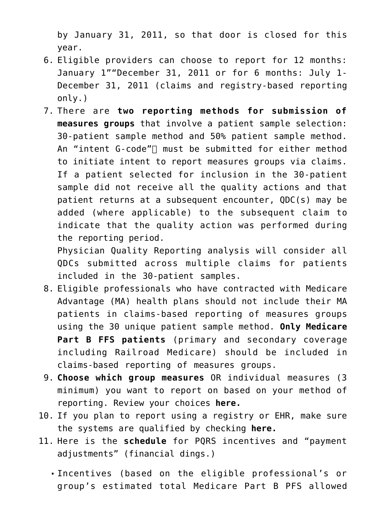by January 31, 2011, so that door is closed for this year.

- 6. Eligible providers can choose to report for 12 months: January 1""December 31, 2011 or for 6 months: July 1- December 31, 2011 (claims and registry-based reporting only.)
- 7. There are **two reporting methods for submission of measures groups** that involve a patient sample selection: 30-patient sample method and 50% patient sample method. An "intent G-code" $\sqcap$  must be submitted for either method to initiate intent to report measures groups via claims. If a patient selected for inclusion in the 30-patient sample did not receive all the quality actions and that patient returns at a subsequent encounter, QDC(s) may be added (where applicable) to the subsequent claim to indicate that the quality action was performed during the reporting period.

Physician Quality Reporting analysis will consider all QDCs submitted across multiple claims for patients included in the 30-patient samples.

- 8. Eligible professionals who have contracted with Medicare Advantage (MA) health plans should not include their MA patients in claims-based reporting of measures groups using the 30 unique patient sample method. **Only Medicare Part B FFS patients** (primary and secondary coverage including Railroad Medicare) should be included in claims-based reporting of measures groups.
- 9. **Choose which group measures** OR individual measures (3 minimum) you want to report on based on your method of reporting. Review your choices **[here.](http://www.cms.gov/PQRI/15_MeasuresCodes.asp#TopOfPage)**
- 10. If you plan to report using a registry or EHR, make sure the systems are qualified by checking **[here.](http://www.cms.gov/PQRI/20_AlternativeReportingMechanisms.asp)**
- 11. Here is the **schedule** for PQRS incentives and "payment adjustments" (financial dings.)
	- Incentives (based on the eligible professional's or group's estimated total Medicare Part B PFS allowed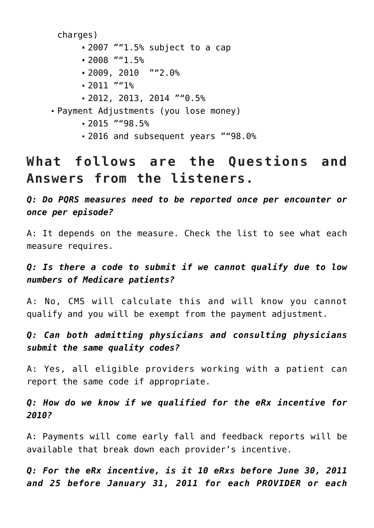charges)

- 2007 ""1.5% subject to a cap
- $-2008$  ""1.5%
- 2009, 2010 ""2.0%
- $-2011$  ""1%
- 2012, 2013, 2014 ""0.5%
- Payment Adjustments (you lose money)
	- $-2015$  ""98.5%
	- 2016 and subsequent years ""98.0%

# **What follows are the Questions and Answers from the listeners.**

*Q: Do PQRS measures need to be reported once per encounter or once per episode?*

A: It depends on the measure. Check the list to see what each measure requires.

# *Q: Is there a code to submit if we cannot qualify due to low numbers of Medicare patients?*

A: No, CMS will calculate this and will know you cannot qualify and you will be exempt from the payment adjustment.

# *Q: Can both admitting physicians and consulting physicians submit the same quality codes?*

A: Yes, all eligible providers working with a patient can report the same code if appropriate.

# *Q: How do we know if we qualified for the eRx incentive for 2010?*

A: Payments will come early fall and feedback reports will be available that break down each provider's incentive.

*Q: For the eRx incentive, is it 10 eRxs before June 30, 2011 and 25 before January 31, 2011 for each PROVIDER or each*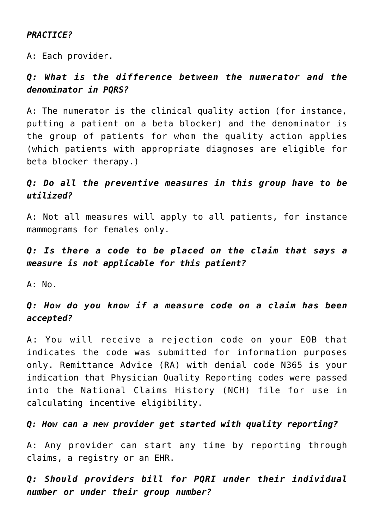#### *PRACTICE?*

A: Each provider.

# *Q: What is the difference between the numerator and the denominator in PQRS?*

A: The numerator is the clinical quality action (for instance, putting a patient on a beta blocker) and the denominator is the group of patients for whom the quality action applies (which patients with appropriate diagnoses are eligible for beta blocker therapy.)

# *Q: Do all the preventive measures in this group have to be utilized?*

A: Not all measures will apply to all patients, for instance mammograms for females only.

*Q: Is there a code to be placed on the claim that says a measure is not applicable for this patient?*

 $A: No.$ 

## *Q: How do you know if a measure code on a claim has been accepted?*

A: You will receive a rejection code on your EOB that indicates the code was submitted for information purposes only. Remittance Advice (RA) with denial code N365 is your indication that Physician Quality Reporting codes were passed into the National Claims History (NCH) file for use in calculating incentive eligibility.

#### *Q: How can a new provider get started with quality reporting?*

A: Any provider can start any time by reporting through claims, a registry or an EHR.

*Q: Should providers bill for PQRI under their individual number or under their group number?*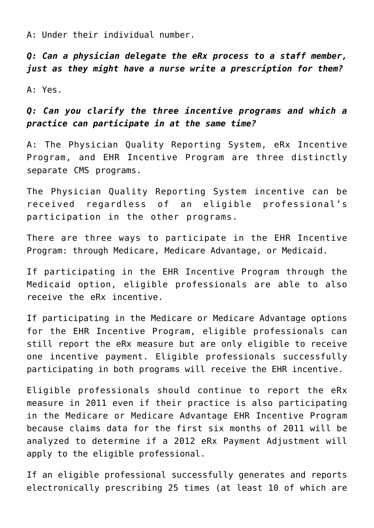A: Under their individual number.

*Q: Can a physician delegate the eRx process to a staff member, just as they might have a nurse write a prescription for them?*

A: Yes.

# *Q: Can you clarify the three incentive programs and which a practice can participate in at the same time?*

A: The Physician Quality Reporting System, eRx Incentive Program, and EHR Incentive Program are three distinctly separate CMS programs.

The Physician Quality Reporting System incentive can be received regardless of an eligible professional's participation in the other programs.

There are three ways to participate in the EHR Incentive Program: through Medicare, Medicare Advantage, or Medicaid.

If participating in the EHR Incentive Program through the Medicaid option, eligible professionals are able to also receive the eRx incentive.

If participating in the Medicare or Medicare Advantage options for the EHR Incentive Program, eligible professionals can still report the eRx measure but are only eligible to receive one incentive payment. Eligible professionals successfully participating in both programs will receive the EHR incentive.

Eligible professionals should continue to report the eRx measure in 2011 even if their practice is also participating in the Medicare or Medicare Advantage EHR Incentive Program because claims data for the first six months of 2011 will be analyzed to determine if a 2012 eRx Payment Adjustment will apply to the eligible professional.

If an eligible professional successfully generates and reports electronically prescribing 25 times (at least 10 of which are